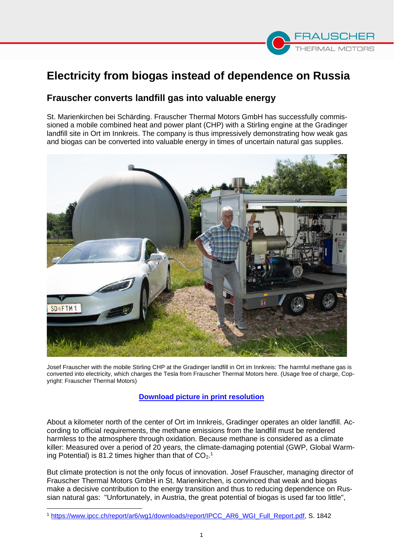# **Electricity from biogas instead of dependence on Russia**

## **Frauscher converts landfill gas into valuable energy**

St. Marienkirchen bei Schärding. Frauscher Thermal Motors GmbH has successfully commissioned a mobile combined heat and power plant (CHP) with a Stirling engine at the Gradinger landfill site in Ort im Innkreis. The company is thus impressively demonstrating how weak gas and biogas can be converted into valuable energy in times of uncertain natural gas supplies.



Josef Frauscher with the mobile Stirling CHP at the Gradinger landfill in Ort im Innkreis: The harmful methane gas is converted into electricity, which charges the Tesla from Frauscher Thermal Motors here. (Usage free of charge, Copyright: Frauscher Thermal Motors)

### **[Download](https://sturmer.link/gradinger) picture in print resolution**

About a kilometer north of the center of Ort im Innkreis, Gradinger operates an older landfill. According to official requirements, the methane emissions from the landfill must be rendered harmless to the atmosphere through oxidation. Because methane is considered as a climate killer: Measured over a period of 20 years, the climate-damaging potential (GWP, Global Warming Potential) is 81.2 times higher than that of  $CO<sub>2</sub>$ .

But climate protection is not the only focus of innovation. Josef Frauscher, managing director of Frauscher Thermal Motors GmbH in St. Marienkirchen, is convinced that weak and biogas make a decisive contribution to the energy transition and thus to reducing dependence on Russian natural gas: "Unfortunately, in Austria, the great potential of biogas is used far too little",

<sup>1</sup> [https://www.ipcc.ch/report/ar6/wg1/downloads/report/IPCC\\_AR6\\_WGI\\_Full\\_Report.pdf,](https://www.ipcc.ch/report/ar6/wg1/downloads/report/IPCC_AR6_WGI_Full_Report.pdf) S. 1842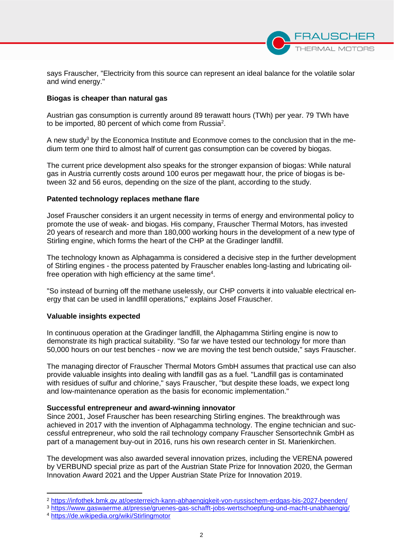

says Frauscher, "Electricity from this source can represent an ideal balance for the volatile solar and wind energy."

#### **Biogas is cheaper than natural gas**

Austrian gas consumption is currently around 89 terawatt hours (TWh) per year. 79 TWh have to be imported, 80 percent of which come from Russia<sup>2</sup>.

A new study<sup>3</sup> by the Economica Institute and Econmove comes to the conclusion that in the medium term one third to almost half of current gas consumption can be covered by biogas.

The current price development also speaks for the stronger expansion of biogas: While natural gas in Austria currently costs around 100 euros per megawatt hour, the price of biogas is between 32 and 56 euros, depending on the size of the plant, according to the study.

#### **Patented technology replaces methane flare**

Josef Frauscher considers it an urgent necessity in terms of energy and environmental policy to promote the use of weak- and biogas. His company, Frauscher Thermal Motors, has invested 20 years of research and more than 180,000 working hours in the development of a new type of Stirling engine, which forms the heart of the CHP at the Gradinger landfill.

The technology known as Alphagamma is considered a decisive step in the further development of Stirling engines - the process patented by Frauscher enables long-lasting and lubricating oilfree operation with high efficiency at the same time<sup>4</sup>.

"So instead of burning off the methane uselessly, our CHP converts it into valuable electrical energy that can be used in landfill operations," explains Josef Frauscher.

#### **Valuable insights expected**

In continuous operation at the Gradinger landfill, the Alphagamma Stirling engine is now to demonstrate its high practical suitability. "So far we have tested our technology for more than 50,000 hours on our test benches - now we are moving the test bench outside," says Frauscher.

The managing director of Frauscher Thermal Motors GmbH assumes that practical use can also provide valuable insights into dealing with landfill gas as a fuel. "Landfill gas is contaminated with residues of sulfur and chlorine," says Frauscher, "but despite these loads, we expect long and low-maintenance operation as the basis for economic implementation."

#### **Successful entrepreneur and award-winning innovator**

Since 2001, Josef Frauscher has been researching Stirling engines. The breakthrough was achieved in 2017 with the invention of Alphagamma technology. The engine technician and successful entrepreneur, who sold the rail technology company Frauscher Sensortechnik GmbH as part of a management buy-out in 2016, runs his own research center in St. Marienkirchen.

The development was also awarded several innovation prizes, including the VERENA powered by VERBUND special prize as part of the Austrian State Prize for Innovation 2020, the German Innovation Award 2021 and the Upper Austrian State Prize for Innovation 2019.

<sup>2</sup> <https://infothek.bmk.gv.at/oesterreich-kann-abhaengigkeit-von-russischem-erdgas-bis-2027-beenden/>

<sup>3</sup> <https://www.gaswaerme.at/presse/gruenes-gas-schafft-jobs-wertschoepfung-und-macht-unabhaengig/>

<sup>4</sup> <https://de.wikipedia.org/wiki/Stirlingmotor>